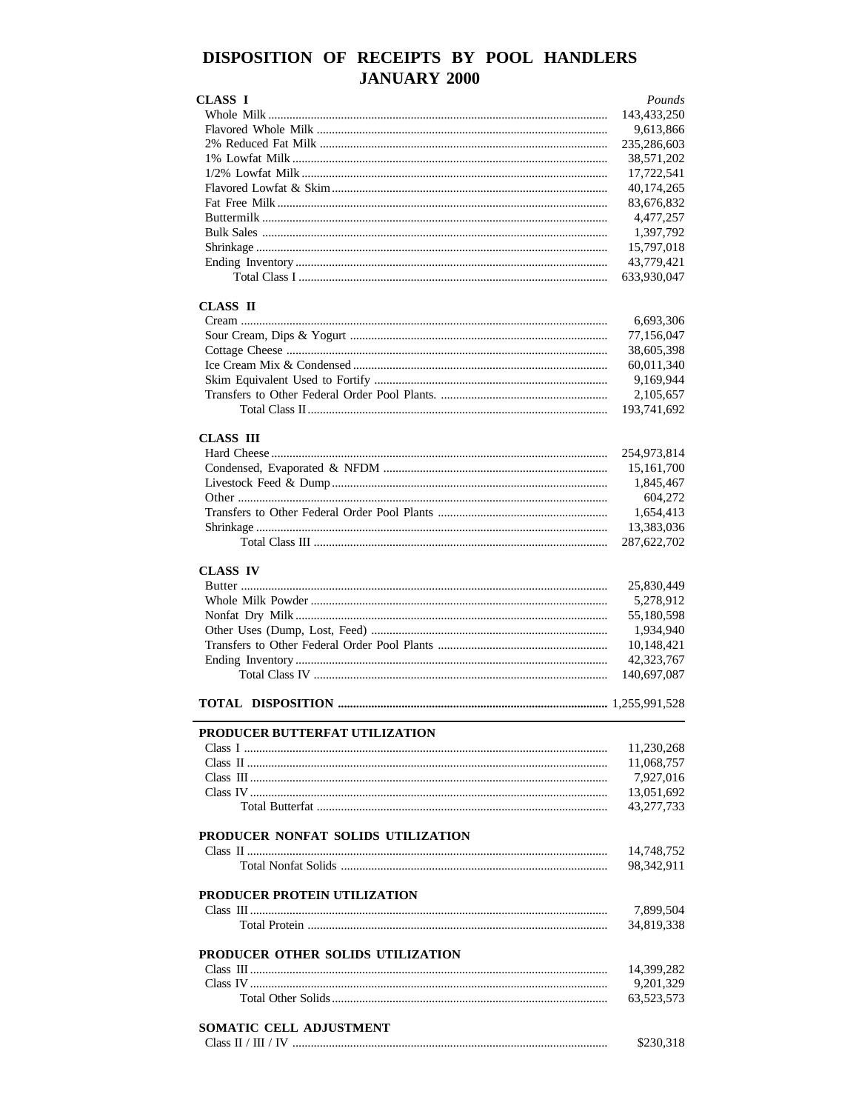# DISPOSITION OF RECEIPTS BY POOL HANDLERS **JANUARY 2000**

| <b>CLASS I</b>                     | Pounds      |
|------------------------------------|-------------|
|                                    | 143,433,250 |
|                                    | 9,613,866   |
|                                    | 235,286,603 |
|                                    | 38,571,202  |
|                                    | 17,722,541  |
|                                    | 40,174,265  |
|                                    | 83,676,832  |
|                                    | 4,477,257   |
|                                    | 1,397,792   |
|                                    | 15,797,018  |
|                                    | 43,779,421  |
|                                    | 633,930,047 |
|                                    |             |
| CLASS II                           |             |
|                                    | 6,693,306   |
|                                    | 77,156,047  |
|                                    | 38,605,398  |
|                                    | 60,011,340  |
|                                    | 9,169,944   |
|                                    | 2,105,657   |
|                                    | 193,741,692 |
|                                    |             |
| <b>CLASS III</b>                   | 254,973,814 |
|                                    |             |
|                                    | 15,161,700  |
|                                    | 1,845,467   |
|                                    | 604,272     |
|                                    | 1,654,413   |
|                                    | 13,383,036  |
|                                    | 287,622,702 |
| <b>CLASS IV</b>                    |             |
|                                    | 25,830,449  |
|                                    | 5,278,912   |
|                                    | 55,180,598  |
|                                    | 1,934,940   |
|                                    | 10,148,421  |
|                                    | 42,323,767  |
|                                    |             |
|                                    | 140,697,087 |
|                                    |             |
|                                    |             |
| PRODUCER BUTTERFAT UTILIZATION     |             |
|                                    | 11,230,268  |
|                                    | 11,068,757  |
|                                    | 7,927,016   |
|                                    | 13,051,692  |
|                                    | 43,277,733  |
|                                    |             |
| PRODUCER NONFAT SOLIDS UTILIZATION |             |
|                                    | 14,748,752  |
|                                    | 98,342,911  |
| PRODUCER PROTEIN UTILIZATION       |             |
|                                    | 7,899,504   |
|                                    | 34,819,338  |
|                                    |             |
| PRODUCER OTHER SOLIDS UTILIZATION  |             |
|                                    | 14,399,282  |
|                                    | 9,201,329   |
|                                    | 63,523,573  |
|                                    |             |
| SOMATIC CELL ADJUSTMENT            |             |
|                                    | \$230,318   |
|                                    |             |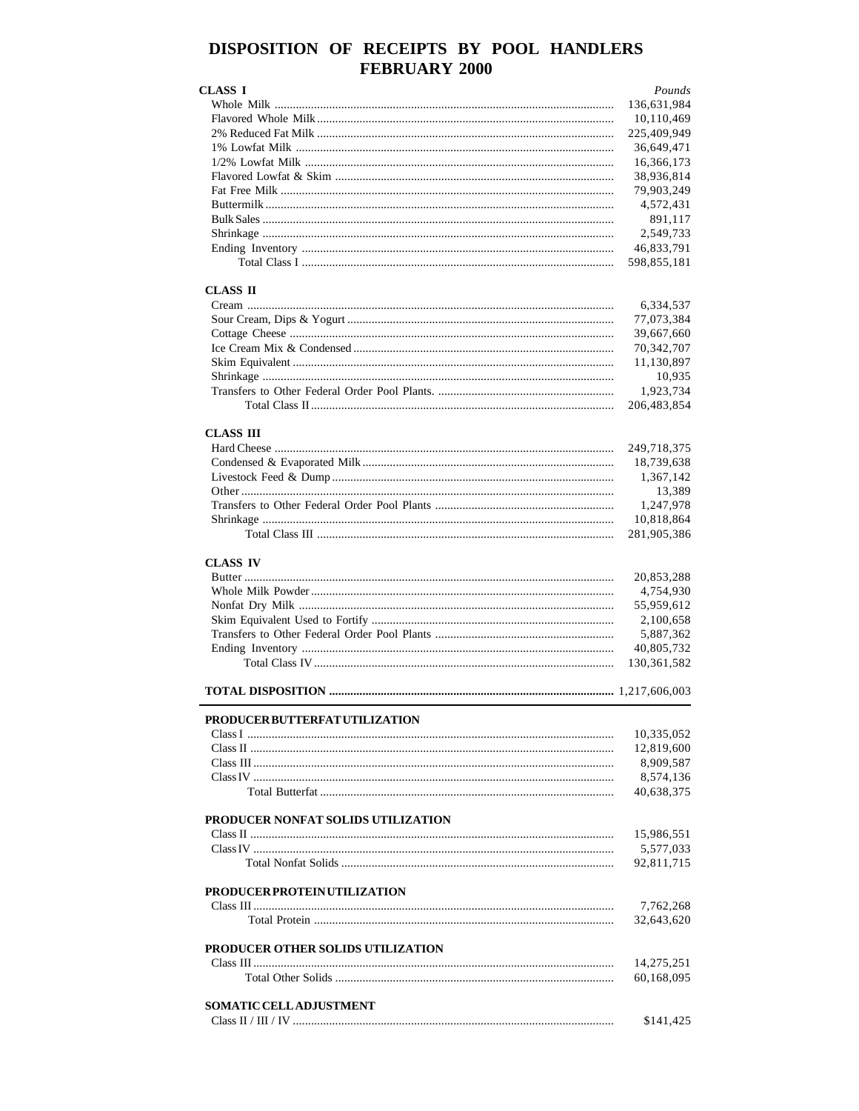# DISPOSITION OF RECEIPTS BY POOL HANDLERS **FEBRUARY 2000**

| <b>CLASS I</b>                     | Pounds        |
|------------------------------------|---------------|
|                                    | 136,631,984   |
|                                    | 10,110,469    |
|                                    | 225,409,949   |
|                                    | 36,649,471    |
|                                    | 16,366,173    |
|                                    | 38,936,814    |
|                                    | 79,903,249    |
|                                    | 4,572,431     |
|                                    | 891,117       |
|                                    | 2,549,733     |
|                                    | 46,833,791    |
|                                    | 598,855,181   |
| <b>CLASS II</b>                    |               |
|                                    | 6,334,537     |
|                                    | 77,073,384    |
|                                    | 39,667,660    |
|                                    | 70,342,707    |
|                                    | 11,130,897    |
|                                    | 10,935        |
|                                    | 1,923,734     |
|                                    | 206,483,854   |
| <b>CLASS III</b>                   |               |
|                                    | 249,718,375   |
|                                    | 18,739,638    |
|                                    | 1,367,142     |
|                                    | 13,389        |
|                                    | 1,247,978     |
|                                    | 10,818,864    |
|                                    | 281,905,386   |
| <b>CLASS IV</b>                    | 20,853,288    |
|                                    | 4,754,930     |
|                                    | 55,959,612    |
|                                    | 2,100,658     |
|                                    | 5,887,362     |
|                                    | 40,805,732    |
|                                    | 130, 361, 582 |
|                                    |               |
|                                    |               |
| PRODUCER BUTTERFAT UTILIZATION     | 10,335,052    |
|                                    | 12,819,600    |
|                                    | 8,909,587     |
|                                    | 8,574,136     |
|                                    | 40,638,375    |
|                                    |               |
| PRODUCER NONFAT SOLIDS UTILIZATION |               |
|                                    | 15,986,551    |
|                                    | 5,577,033     |
|                                    | 92,811,715    |
| PRODUCER PROTEIN UTILIZATION       |               |
|                                    | 7,762,268     |
|                                    | 32,643,620    |
|                                    |               |
| PRODUCER OTHER SOLIDS UTILIZATION  |               |
|                                    | 14,275,251    |
|                                    | 60,168,095    |
| SOMATIC CELL ADJUSTMENT            |               |
|                                    |               |
|                                    | \$141,425     |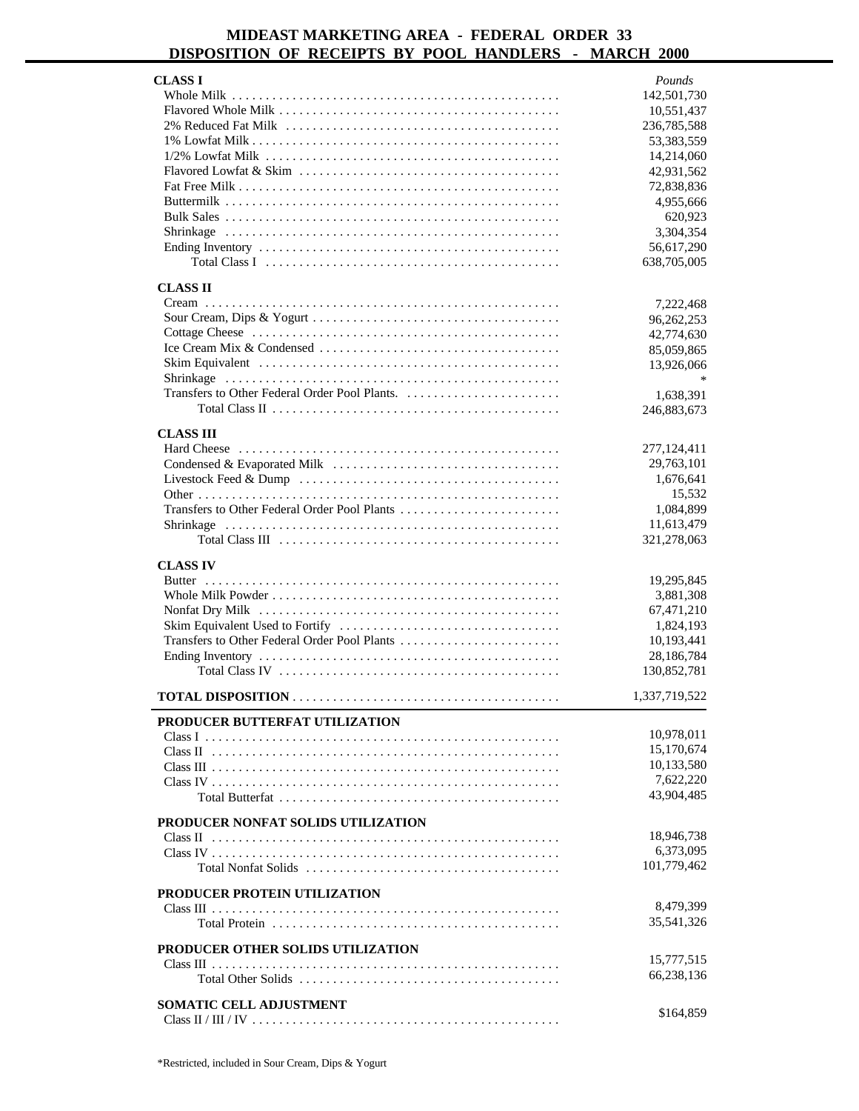### **MIDEAST MARKETING AREA - FEDERAL ORDER 33 DISPOSITION OF RECEIPTS BY POOL HANDLERS - MARCH 2000**

| <b>CLASS I</b>                        | Pounds        |
|---------------------------------------|---------------|
|                                       | 142,501,730   |
|                                       | 10,551,437    |
|                                       | 236,785,588   |
|                                       | 53,383,559    |
|                                       | 14,214,060    |
|                                       | 42,931,562    |
|                                       | 72,838,836    |
|                                       | 4,955,666     |
|                                       | 620,923       |
|                                       | 3,304,354     |
|                                       | 56,617,290    |
|                                       | 638,705,005   |
| <b>CLASS II</b>                       |               |
|                                       | 7,222,468     |
|                                       | 96,262,253    |
|                                       | 42,774,630    |
|                                       | 85,059,865    |
|                                       | 13,926,066    |
|                                       |               |
|                                       | 1,638,391     |
|                                       | 246,883,673   |
| <b>CLASS III</b>                      |               |
|                                       | 277,124,411   |
|                                       | 29,763,101    |
|                                       | 1,676,641     |
|                                       | 15,532        |
|                                       | 1,084,899     |
|                                       | 11,613,479    |
|                                       | 321,278,063   |
| <b>CLASS IV</b>                       |               |
|                                       | 19,295,845    |
|                                       | 3,881,308     |
|                                       | 67,471,210    |
|                                       | 1,824,193     |
|                                       | 10,193,441    |
|                                       | 28,186,784    |
|                                       | 130,852,781   |
|                                       |               |
|                                       | 1,337,719,522 |
| <b>PRODUCER BUTTERFAT UTILIZATION</b> |               |
|                                       | 10,978,011    |
|                                       | 15,170,674    |
|                                       | 10,133,580    |
|                                       | 7,622,220     |
|                                       | 43,904,485    |
| PRODUCER NONFAT SOLIDS UTILIZATION    |               |
|                                       | 18,946,738    |
|                                       | 6,373,095     |
|                                       | 101,779,462   |
|                                       |               |
| PRODUCER PROTEIN UTILIZATION          |               |
|                                       | 8,479,399     |
|                                       | 35,541,326    |
| PRODUCER OTHER SOLIDS UTILIZATION     |               |
|                                       | 15,777,515    |
|                                       | 66,238,136    |
|                                       |               |
| SOMATIC CELL ADJUSTMENT               | \$164,859     |
|                                       |               |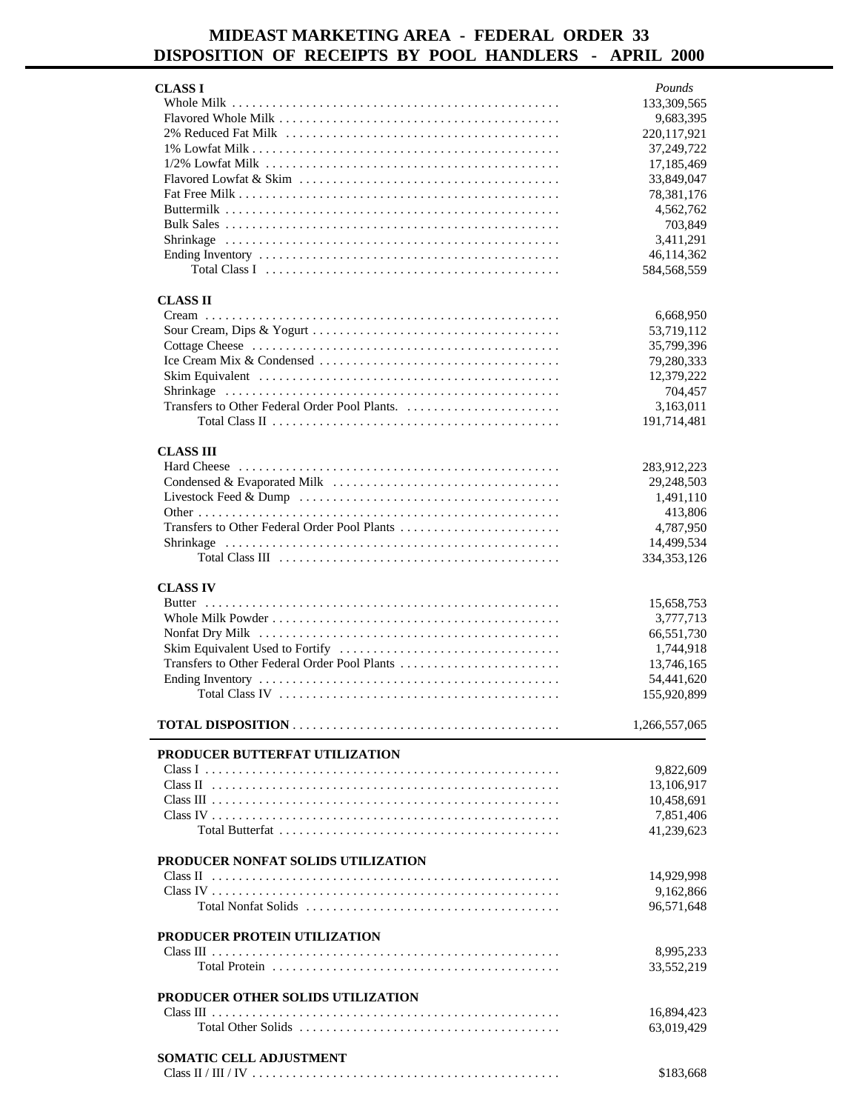# **MIDEAST MARKETING AREA - FEDERAL ORDER 33 DISPOSITION OF RECEIPTS BY POOL HANDLERS - APRIL 2000**

| <b>CLASS I</b>                               | Pounds                    |
|----------------------------------------------|---------------------------|
|                                              | 133,309,565               |
|                                              | 9,683,395                 |
|                                              | 220,117,921               |
|                                              | 37,249,722                |
|                                              | 17,185,469                |
|                                              | 33,849,047                |
|                                              | 78,381,176                |
|                                              | 4,562,762                 |
|                                              | 703,849                   |
|                                              | 3,411,291                 |
|                                              | 46,114,362<br>584,568,559 |
|                                              |                           |
| <b>CLASS II</b>                              |                           |
|                                              | 6,668,950                 |
|                                              | 53,719,112                |
|                                              | 35,799,396                |
|                                              | 79,280,333                |
|                                              | 12,379,222                |
|                                              | 704,457                   |
|                                              | 3,163,011                 |
|                                              | 191,714,481               |
| <b>CLASS III</b>                             |                           |
|                                              | 283,912,223               |
|                                              | 29,248,503                |
|                                              | 1,491,110                 |
|                                              | 413,806                   |
| Transfers to Other Federal Order Pool Plants | 4,787,950                 |
|                                              | 14,499,534                |
|                                              | 334, 353, 126             |
| <b>CLASS IV</b>                              |                           |
|                                              | 15,658,753                |
|                                              | 3,777,713                 |
|                                              | 66,551,730                |
|                                              | 1,744,918                 |
|                                              | 13,746,165                |
|                                              | 54,441,620                |
|                                              | 155,920,899               |
|                                              | 1,266,557,065             |
|                                              |                           |
| PRODUCER BUTTERFAT UTILIZATION               |                           |
|                                              | 9,822,609                 |
|                                              | 13,106,917                |
|                                              | 10,458,691                |
|                                              | 7,851,406                 |
|                                              | 41,239,623                |
| PRODUCER NONFAT SOLIDS UTILIZATION           |                           |
|                                              | 14,929,998                |
|                                              | 9,162,866                 |
|                                              | 96,571,648                |
| PRODUCER PROTEIN UTILIZATION                 |                           |
|                                              | 8,995,233                 |
|                                              | 33,552,219                |
|                                              |                           |
| PRODUCER OTHER SOLIDS UTILIZATION            |                           |
|                                              | 16,894,423                |
|                                              | 63,019,429                |
| SOMATIC CELL ADJUSTMENT                      |                           |
|                                              | \$183,668                 |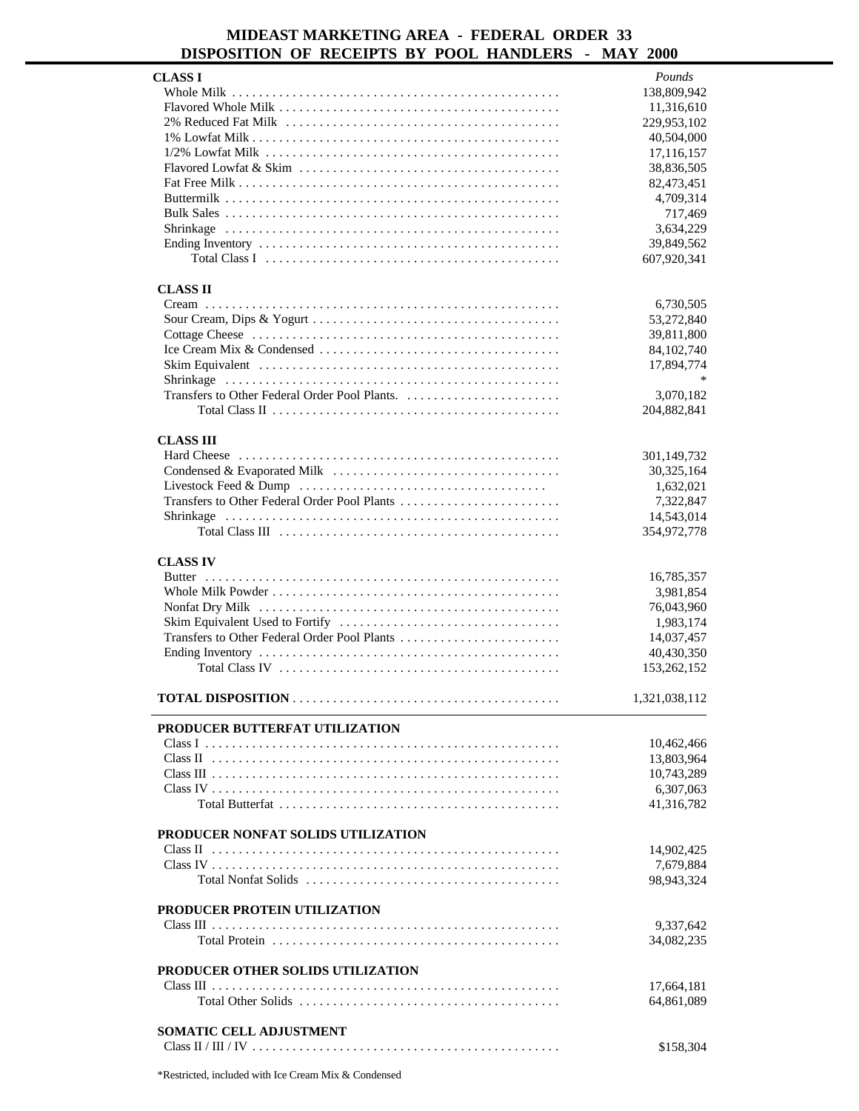### **MIDEAST MARKETING AREA - FEDERAL ORDER 33 DISPOSITION OF RECEIPTS BY POOL HANDLERS - MAY 2000**

|                                                                                                          | Pounds        |
|----------------------------------------------------------------------------------------------------------|---------------|
| <b>CLASS I</b>                                                                                           |               |
|                                                                                                          | 138,809,942   |
|                                                                                                          | 11,316,610    |
|                                                                                                          | 229,953,102   |
|                                                                                                          | 40,504,000    |
|                                                                                                          | 17,116,157    |
|                                                                                                          |               |
|                                                                                                          | 38,836,505    |
|                                                                                                          | 82,473,451    |
|                                                                                                          | 4,709,314     |
|                                                                                                          | 717,469       |
|                                                                                                          |               |
|                                                                                                          | 3,634,229     |
|                                                                                                          | 39,849,562    |
|                                                                                                          | 607,920,341   |
|                                                                                                          |               |
|                                                                                                          |               |
| <b>CLASS II</b>                                                                                          |               |
|                                                                                                          | 6,730,505     |
|                                                                                                          | 53,272,840    |
|                                                                                                          | 39,811,800    |
|                                                                                                          |               |
|                                                                                                          | 84,102,740    |
|                                                                                                          | 17,894,774    |
|                                                                                                          | $\ast$        |
|                                                                                                          | 3,070,182     |
|                                                                                                          | 204,882,841   |
|                                                                                                          |               |
|                                                                                                          |               |
| <b>CLASS III</b>                                                                                         |               |
|                                                                                                          | 301,149,732   |
|                                                                                                          | 30,325,164    |
|                                                                                                          |               |
|                                                                                                          | 1,632,021     |
|                                                                                                          | 7,322,847     |
|                                                                                                          | 14,543,014    |
|                                                                                                          | 354,972,778   |
|                                                                                                          |               |
|                                                                                                          |               |
| <b>CLASS IV</b>                                                                                          |               |
|                                                                                                          | 16,785,357    |
|                                                                                                          | 3,981,854     |
|                                                                                                          |               |
|                                                                                                          |               |
|                                                                                                          | 76,043,960    |
|                                                                                                          | 1,983,174     |
|                                                                                                          | 14,037,457    |
|                                                                                                          |               |
|                                                                                                          | 40,430,350    |
|                                                                                                          | 153,262,152   |
|                                                                                                          |               |
|                                                                                                          | 1,321,038,112 |
|                                                                                                          |               |
| PRODUCER BUTTERFAT UTILIZATION                                                                           |               |
|                                                                                                          |               |
|                                                                                                          | 10,462,466    |
|                                                                                                          | 13,803,964    |
|                                                                                                          | 10,743,289    |
|                                                                                                          |               |
|                                                                                                          | 6,307,063     |
|                                                                                                          | 41,316,782    |
|                                                                                                          |               |
| PRODUCER NONFAT SOLIDS UTILIZATION                                                                       |               |
|                                                                                                          | 14,902,425    |
|                                                                                                          |               |
|                                                                                                          | 7,679,884     |
|                                                                                                          | 98,943,324    |
|                                                                                                          |               |
| PRODUCER PROTEIN UTILIZATION                                                                             |               |
|                                                                                                          |               |
|                                                                                                          | 9,337,642     |
|                                                                                                          | 34,082,235    |
|                                                                                                          |               |
| PRODUCER OTHER SOLIDS UTILIZATION                                                                        |               |
|                                                                                                          | 17,664,181    |
| Total Other Solids $\ldots \ldots \ldots \ldots \ldots \ldots \ldots \ldots \ldots \ldots \ldots \ldots$ |               |
|                                                                                                          | 64,861,089    |
|                                                                                                          |               |
| SOMATIC CELL ADJUSTMENT                                                                                  | \$158,304     |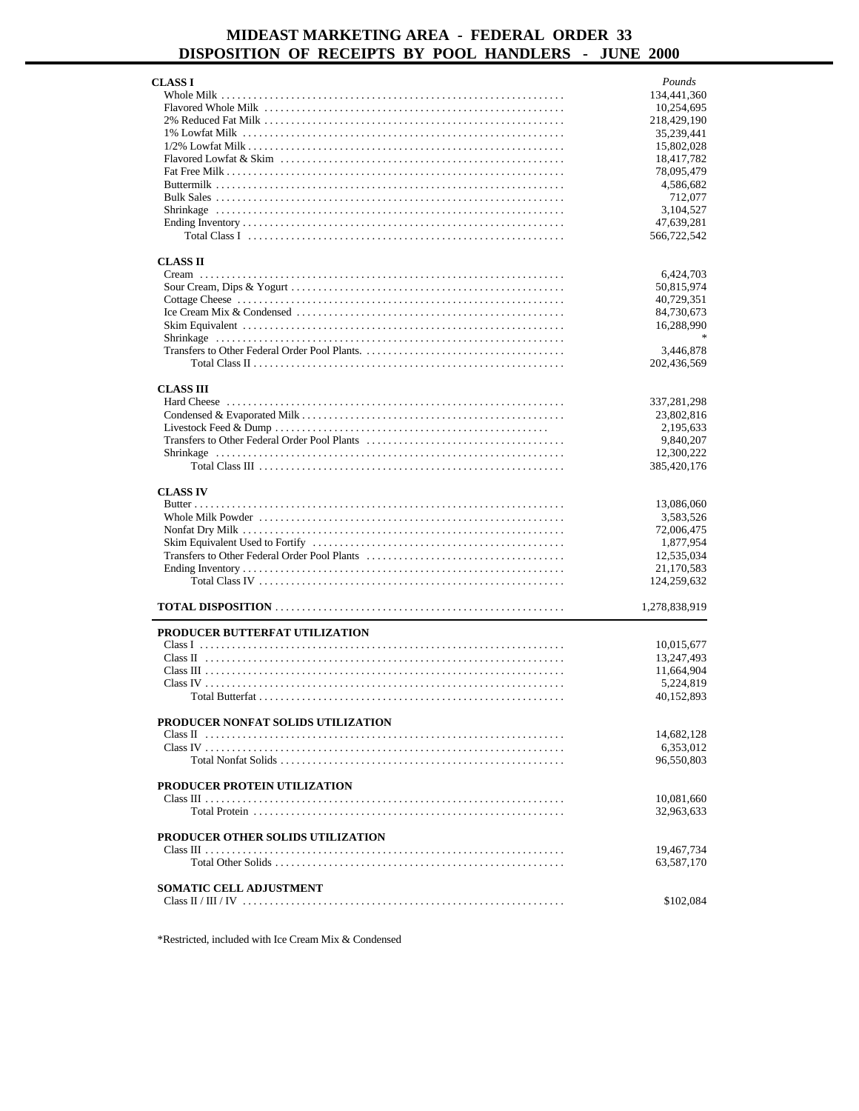## **MIDEAST MARKETING AREA - FEDERAL ORDER 33 DISPOSITION OF RECEIPTS BY POOL HANDLERS - JUNE 2000**

| CLASS I                            | Pounds        |
|------------------------------------|---------------|
|                                    | 134,441,360   |
|                                    | 10,254,695    |
|                                    | 218,429,190   |
|                                    | 35,239,441    |
|                                    | 15,802,028    |
|                                    | 18,417,782    |
|                                    | 78,095,479    |
|                                    | 4,586,682     |
|                                    | 712,077       |
|                                    | 3,104,527     |
|                                    | 47,639,281    |
|                                    | 566,722,542   |
| <b>CLASS II</b>                    |               |
|                                    | 6,424,703     |
|                                    | 50,815,974    |
|                                    | 40,729,351    |
|                                    | 84,730,673    |
|                                    | 16,288,990    |
|                                    |               |
|                                    | 3,446,878     |
|                                    | 202,436,569   |
|                                    |               |
| <b>CLASS III</b>                   |               |
|                                    | 337,281,298   |
|                                    | 23,802,816    |
|                                    | 2,195,633     |
|                                    | 9,840,207     |
|                                    | 12,300,222    |
|                                    | 385,420,176   |
| <b>CLASS IV</b>                    |               |
|                                    | 13,086,060    |
|                                    | 3,583,526     |
|                                    | 72,006,475    |
|                                    | 1,877,954     |
|                                    | 12,535,034    |
|                                    | 21,170,583    |
|                                    | 124,259,632   |
|                                    |               |
|                                    | 1,278,838,919 |
| PRODUCER BUTTERFAT UTILIZATION     |               |
|                                    | 10,015,677    |
|                                    | 13,247,493    |
|                                    | 11,664,904    |
|                                    | 5,224,819     |
|                                    | 40,152,893    |
| PRODUCER NONFAT SOLIDS UTILIZATION |               |
|                                    | 14,682,128    |
|                                    | 6,353,012     |
|                                    | 96,550,803    |
|                                    |               |
| PRODUCER PROTEIN UTILIZATION       |               |
|                                    | 10,081,660    |
|                                    | 32,963,633    |
| PRODUCER OTHER SOLIDS UTILIZATION  |               |
|                                    | 19,467,734    |
|                                    | 63,587,170    |
|                                    |               |
| <b>SOMATIC CELL ADJUSTMENT</b>     |               |
|                                    | \$102,084     |
|                                    |               |

\*Restricted, included with Ice Cream Mix & Condensed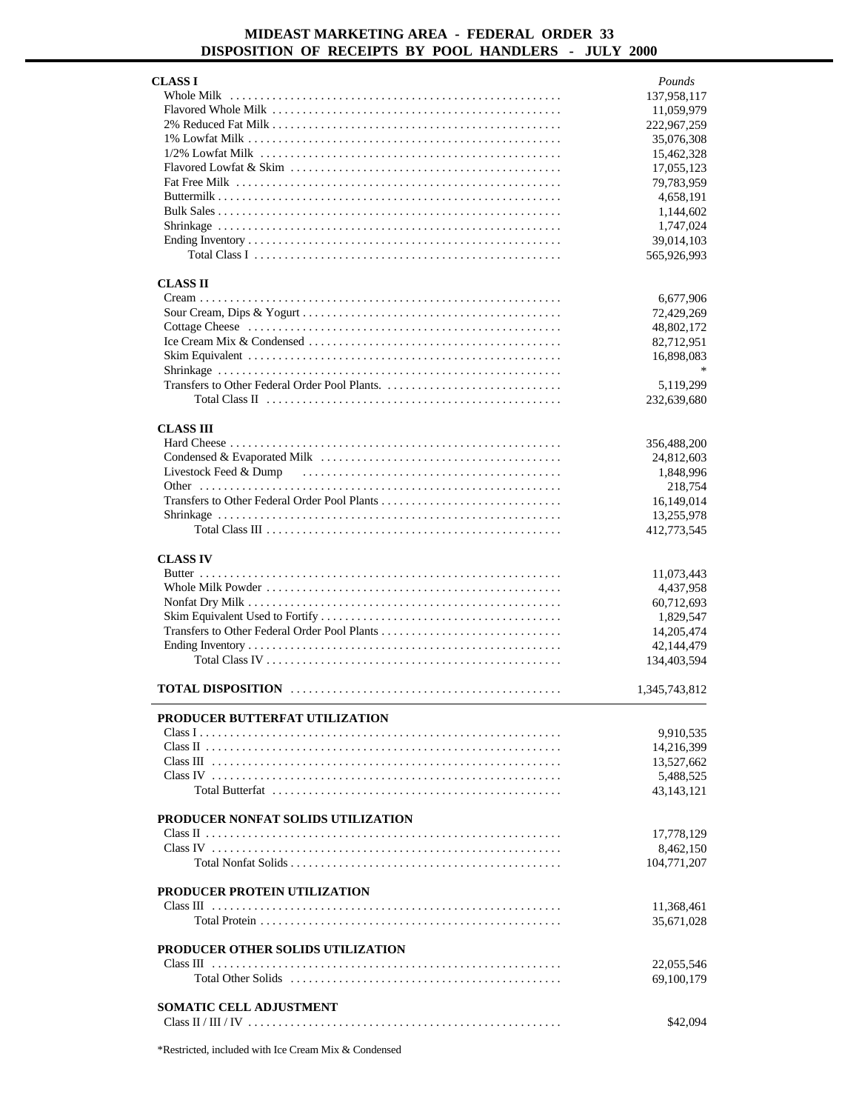### **MIDEAST MARKETING AREA - FEDERAL ORDER 33 DISPOSITION OF RECEIPTS BY POOL HANDLERS - JULY 2000**

| <b>CLASS I</b>                      | Pounds                   |
|-------------------------------------|--------------------------|
|                                     | 137,958,117              |
|                                     | 11,059,979               |
|                                     | 222,967,259              |
|                                     | 35,076,308               |
|                                     | 15,462,328               |
|                                     | 17,055,123               |
|                                     | 79,783,959               |
|                                     | 4,658,191                |
|                                     | 1,144,602                |
|                                     | 1,747,024                |
|                                     | 39,014,103               |
|                                     | 565,926,993              |
| <b>CLASS II</b>                     |                          |
|                                     | 6,677,906                |
|                                     | 72,429,269               |
|                                     | 48,802,172               |
|                                     | 82,712,951               |
|                                     | 16,898,083               |
|                                     |                          |
|                                     | 5,119,299                |
|                                     | 232,639,680              |
|                                     |                          |
| <b>CLASS III</b>                    |                          |
|                                     | 356,488,200              |
|                                     | 24,812,603               |
|                                     | 1,848,996                |
|                                     | 218,754                  |
|                                     | 16,149,014<br>13,255,978 |
|                                     | 412,773,545              |
|                                     |                          |
| <b>CLASS IV</b>                     |                          |
|                                     | 11,073,443               |
|                                     | 4,437,958                |
|                                     | 60,712,693               |
|                                     | 1,829,547                |
|                                     | 14,205,474               |
|                                     | 42,144,479               |
|                                     |                          |
|                                     | 134,403,594              |
|                                     | 1,345,743,812            |
|                                     |                          |
| PRODUCER BUTTERFAT UTILIZATION      |                          |
|                                     | 9,910,535                |
|                                     | 14,216,399               |
|                                     | 13,527,662               |
|                                     | 5,488,525                |
|                                     | 43,143,121               |
| PRODUCER NONFAT SOLIDS UTILIZATION  |                          |
|                                     | 17,778,129               |
|                                     | 8,462,150                |
|                                     | 104,771,207              |
| <b>PRODUCER PROTEIN UTILIZATION</b> |                          |
|                                     | 11,368,461               |
|                                     | 35,671,028               |
|                                     |                          |
| PRODUCER OTHER SOLIDS UTILIZATION   |                          |
|                                     | 22,055,546               |
|                                     | 69,100,179               |
| <b>SOMATIC CELL ADJUSTMENT</b>      |                          |
|                                     | \$42,094                 |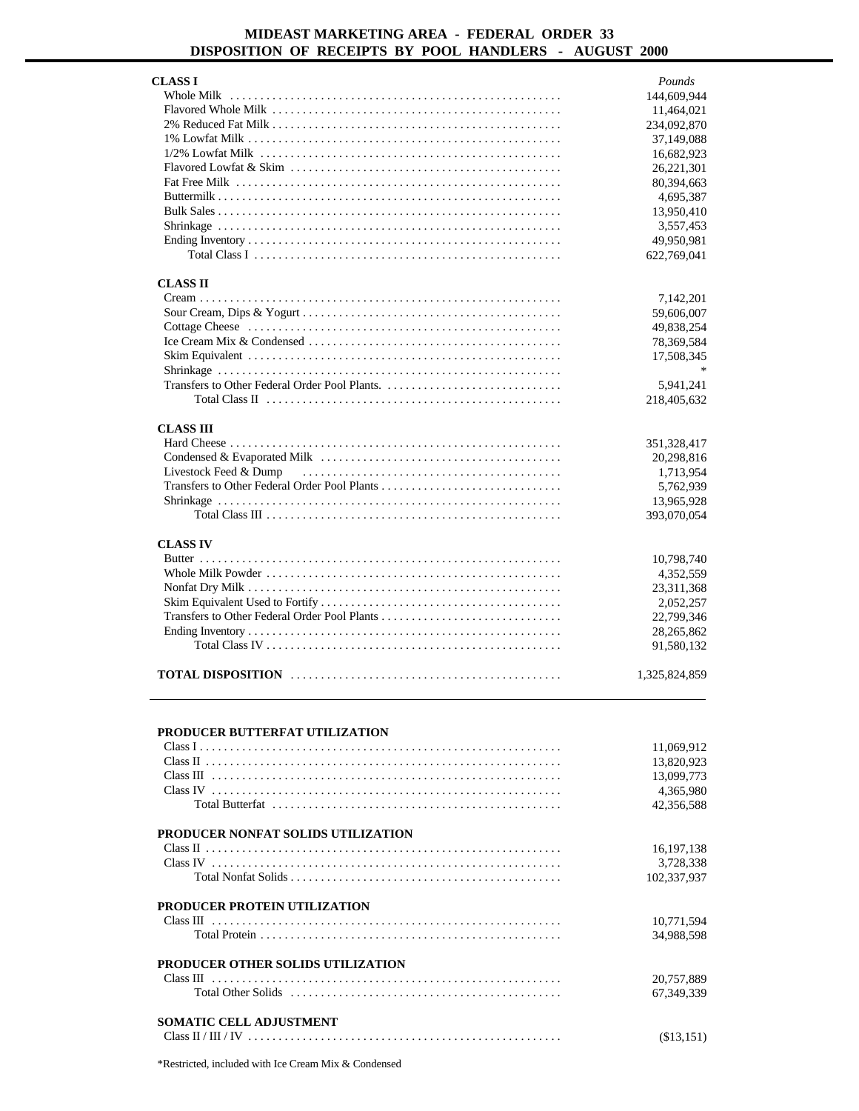### **MIDEAST MARKETING AREA - FEDERAL ORDER 33 DISPOSITION OF RECEIPTS BY POOL HANDLERS - AUGUST 2000**

| <b>CLASS I</b>        | Pounds        |
|-----------------------|---------------|
|                       | 144,609,944   |
|                       | 11,464,021    |
|                       | 234,092,870   |
|                       | 37,149,088    |
|                       | 16,682,923    |
|                       | 26,221,301    |
|                       | 80,394,663    |
|                       | 4,695,387     |
|                       | 13,950,410    |
|                       | 3,557,453     |
|                       | 49,950,981    |
|                       | 622,769,041   |
| <b>CLASS II</b>       |               |
|                       | 7,142,201     |
|                       | 59,606,007    |
|                       | 49,838,254    |
|                       | 78,369,584    |
|                       | 17,508,345    |
|                       |               |
|                       | 5,941,241     |
|                       | 218,405,632   |
|                       |               |
| <b>CLASS III</b>      |               |
|                       | 351,328,417   |
|                       | 20,298,816    |
| Livestock Feed & Dump | 1,713,954     |
|                       | 5,762,939     |
|                       | 13,965,928    |
|                       | 393,070,054   |
| <b>CLASS IV</b>       |               |
|                       | 10,798,740    |
|                       | 4,352,559     |
|                       | 23,311,368    |
|                       | 2,052,257     |
|                       | 22,799,346    |
|                       | 28,265,862    |
|                       | 91,580,132    |
|                       | 1,325,824,859 |

#### **PRODUCER BUTTERFAT UTILIZATION**

|                                     | 11.069.912  |
|-------------------------------------|-------------|
|                                     | 13,820,923  |
|                                     | 13,099,773  |
|                                     | 4,365,980   |
|                                     | 42,356,588  |
| PRODUCER NONFAT SOLIDS UTILIZATION  |             |
|                                     | 16,197,138  |
|                                     | 3,728,338   |
|                                     | 102,337,937 |
| <b>PRODUCER PROTEIN UTILIZATION</b> |             |
|                                     | 10.771.594  |
|                                     | 34,988,598  |
| PRODUCER OTHER SOLIDS UTILIZATION   |             |
|                                     | 20.757.889  |
|                                     | 67,349,339  |
| <b>SOMATIC CELL ADJUSTMENT</b>      |             |
|                                     | (\$13,151)  |
|                                     |             |

\*Restricted, included with Ice Cream Mix & Condensed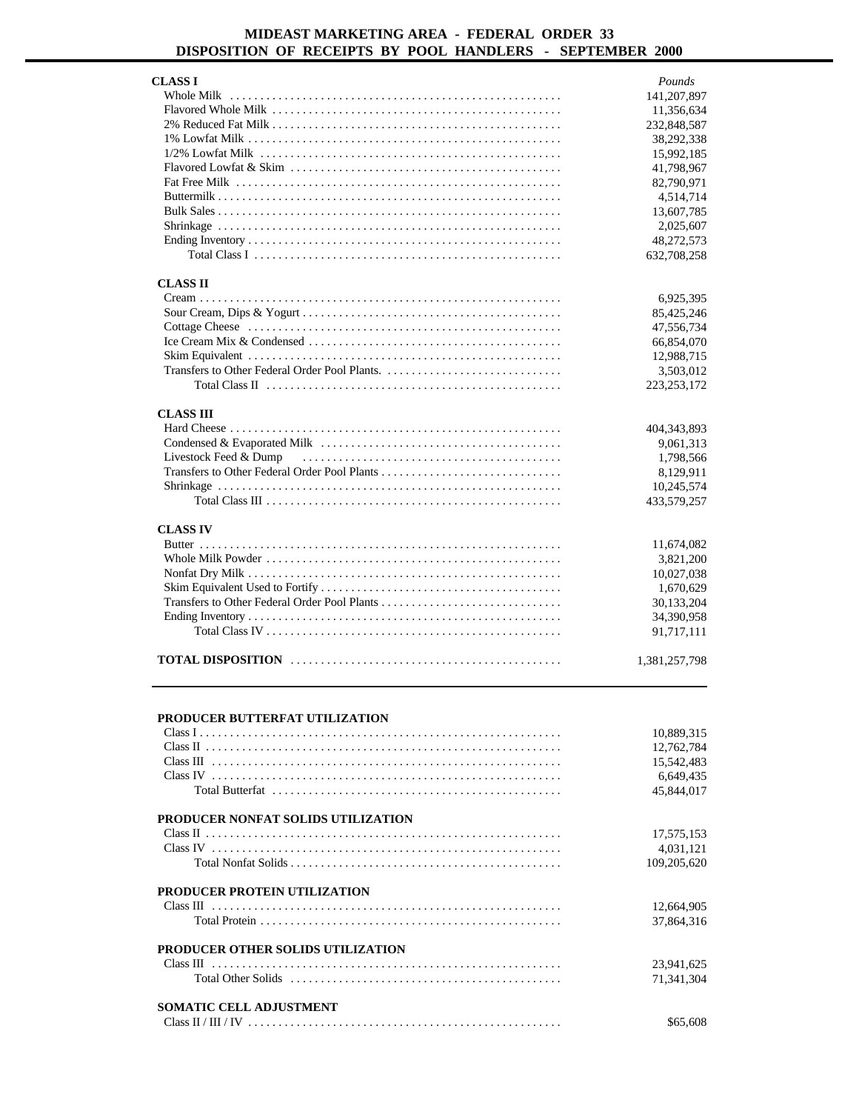### **MIDEAST MARKETING AREA - FEDERAL ORDER 33 DISPOSITION OF RECEIPTS BY POOL HANDLERS - SEPTEMBER 2000**

| <b>CLASS I</b>                               | Pounds        |
|----------------------------------------------|---------------|
|                                              | 141,207,897   |
|                                              | 11,356,634    |
|                                              | 232,848,587   |
|                                              | 38,292,338    |
|                                              | 15,992,185    |
|                                              | 41,798,967    |
|                                              | 82,790,971    |
|                                              | 4,514,714     |
|                                              | 13,607,785    |
|                                              | 2,025,607     |
|                                              | 48,272,573    |
|                                              | 632,708,258   |
|                                              |               |
| <b>CLASS II</b>                              |               |
|                                              | 6,925,395     |
|                                              | 85,425,246    |
|                                              | 47,556,734    |
|                                              | 66,854,070    |
|                                              | 12,988,715    |
|                                              | 3,503,012     |
|                                              | 223, 253, 172 |
|                                              |               |
| <b>CLASS III</b>                             |               |
|                                              | 404,343,893   |
|                                              | 9,061,313     |
| Livestock Feed & Dump                        | 1,798,566     |
| Transfers to Other Federal Order Pool Plants | 8,129,911     |
|                                              | 10,245,574    |
|                                              | 433,579,257   |
|                                              |               |
| <b>CLASS IV</b>                              |               |
|                                              | 11,674,082    |
|                                              | 3,821,200     |
|                                              | 10,027,038    |
|                                              | 1,670,629     |
| Transfers to Other Federal Order Pool Plants | 30,133,204    |
|                                              | 34,390,958    |
|                                              | 91,717,111    |
|                                              |               |
|                                              | 1,381,257,798 |
|                                              |               |

#### **PRODUCER BUTTERFAT UTILIZATION**

|                                     | 10.889.315  |
|-------------------------------------|-------------|
|                                     | 12,762,784  |
|                                     | 15,542,483  |
|                                     | 6,649,435   |
|                                     | 45,844,017  |
| PRODUCER NONFAT SOLIDS UTILIZATION  |             |
|                                     | 17,575,153  |
|                                     | 4,031,121   |
|                                     | 109,205,620 |
| <b>PRODUCER PROTEIN UTILIZATION</b> |             |
|                                     | 12,664,905  |
|                                     | 37,864,316  |
| PRODUCER OTHER SOLIDS UTILIZATION   |             |
|                                     | 23,941,625  |
|                                     | 71.341.304  |
| <b>SOMATIC CELL ADJUSTMENT</b>      |             |
|                                     | \$65,608    |
|                                     |             |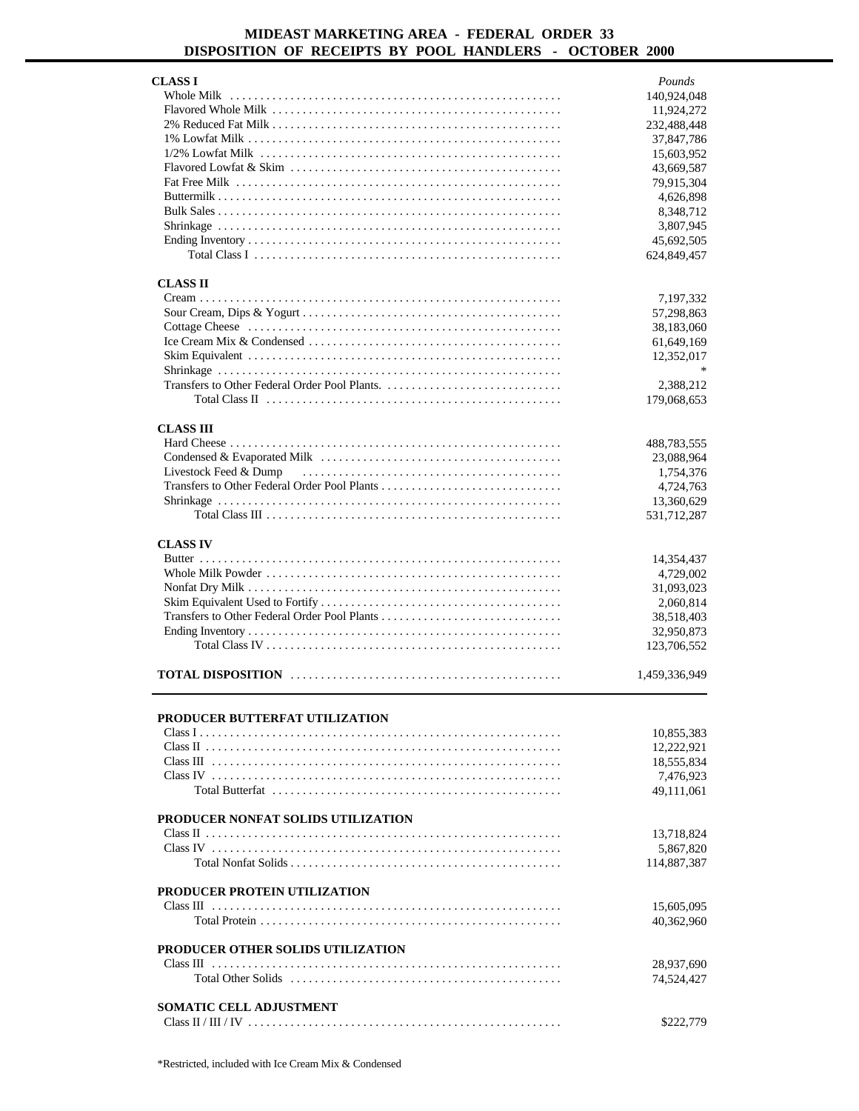### **MIDEAST MARKETING AREA - FEDERAL ORDER 33 DISPOSITION OF RECEIPTS BY POOL HANDLERS - OCTOBER 2000**

| <b>CLASS I</b>                           | Pounds        |
|------------------------------------------|---------------|
|                                          | 140,924,048   |
|                                          | 11,924,272    |
|                                          | 232,488,448   |
|                                          | 37,847,786    |
|                                          |               |
|                                          | 15,603,952    |
|                                          | 43,669,587    |
|                                          | 79,915,304    |
|                                          | 4,626,898     |
|                                          | 8,348,712     |
|                                          | 3,807,945     |
|                                          | 45,692,505    |
|                                          |               |
|                                          | 624,849,457   |
|                                          |               |
| <b>CLASS II</b>                          |               |
|                                          | 7,197,332     |
|                                          | 57,298,863    |
|                                          | 38,183,060    |
|                                          | 61,649,169    |
|                                          | 12,352,017    |
|                                          | $\star$       |
|                                          |               |
|                                          | 2,388,212     |
|                                          | 179,068,653   |
|                                          |               |
| <b>CLASS III</b>                         |               |
|                                          |               |
|                                          | 488,783,555   |
|                                          | 23,088,964    |
| Livestock Feed & Dump                    | 1,754,376     |
|                                          | 4,724,763     |
|                                          | 13,360,629    |
|                                          | 531,712,287   |
|                                          |               |
| <b>CLASS IV</b>                          |               |
|                                          |               |
|                                          | 14,354,437    |
|                                          | 4,729,002     |
|                                          | 31,093,023    |
|                                          | 2,060,814     |
|                                          | 38,518,403    |
|                                          | 32,950,873    |
|                                          |               |
|                                          | 123,706,552   |
|                                          |               |
|                                          | 1,459,336,949 |
|                                          |               |
|                                          |               |
| PRODUCER BUTTERFAT UTILIZATION           |               |
|                                          | 10,855,383    |
|                                          | 12,222,921    |
|                                          | 18,555,834    |
|                                          | 7,476,923     |
|                                          |               |
|                                          | 49,111,061    |
|                                          |               |
| PRODUCER NONFAT SOLIDS UTILIZATION       |               |
|                                          | 13,718,824    |
|                                          | 5,867,820     |
|                                          | 114,887,387   |
|                                          |               |
|                                          |               |
| <b>PRODUCER PROTEIN UTILIZATION</b>      |               |
|                                          | 15,605,095    |
|                                          | 40,362,960    |
|                                          |               |
| <b>PRODUCER OTHER SOLIDS UTILIZATION</b> |               |
|                                          | 28,937,690    |
|                                          | 74,524,427    |
|                                          |               |
|                                          |               |
| <b>SOMATIC CELL ADJUSTMENT</b>           |               |
|                                          | \$222,779     |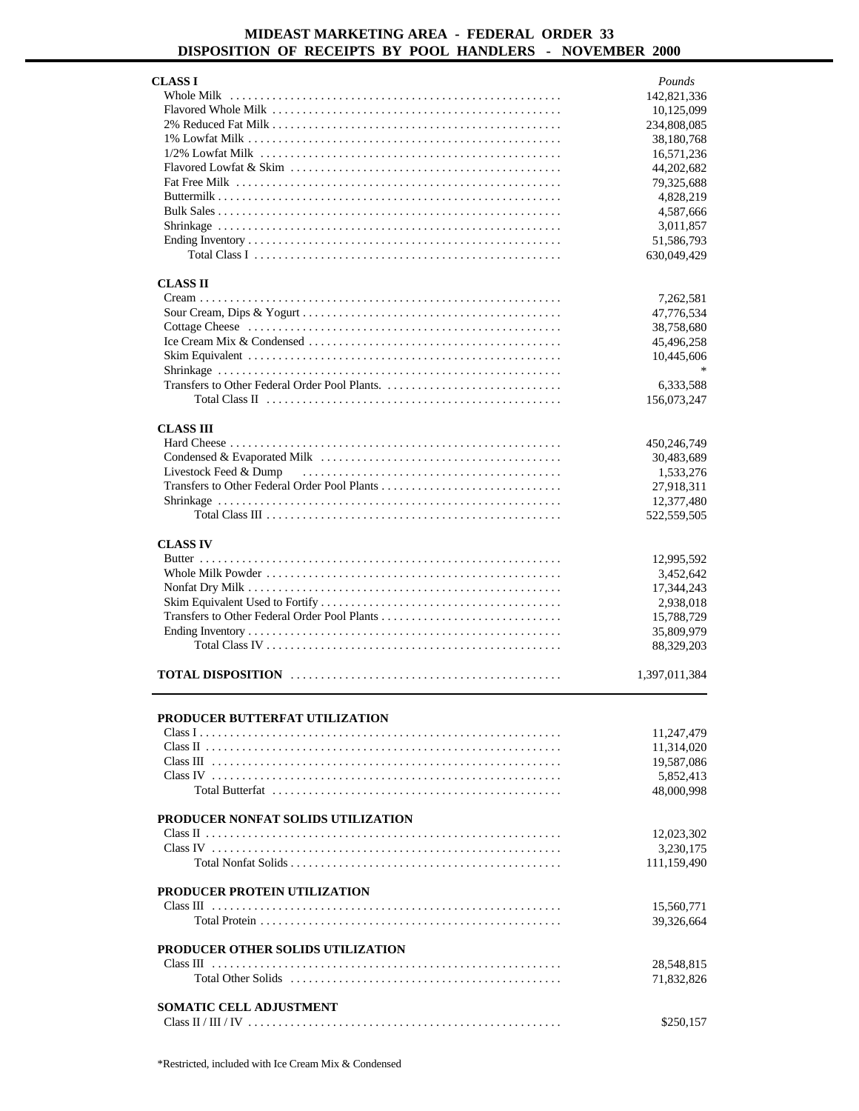### **MIDEAST MARKETING AREA - FEDERAL ORDER 33 DISPOSITION OF RECEIPTS BY POOL HANDLERS - NOVEMBER 2000**

| <b>CLASS I</b>                      | Pounds        |
|-------------------------------------|---------------|
|                                     | 142,821,336   |
|                                     | 10,125,099    |
|                                     | 234,808,085   |
|                                     |               |
|                                     | 38,180,768    |
|                                     | 16,571,236    |
|                                     | 44,202,682    |
|                                     | 79,325,688    |
|                                     | 4,828,219     |
|                                     | 4,587,666     |
|                                     | 3,011,857     |
|                                     | 51,586,793    |
|                                     |               |
|                                     | 630,049,429   |
|                                     |               |
| <b>CLASS II</b>                     |               |
|                                     | 7,262,581     |
|                                     | 47,776,534    |
|                                     | 38,758,680    |
|                                     | 45,496,258    |
|                                     | 10,445,606    |
|                                     |               |
|                                     |               |
|                                     | 6,333,588     |
|                                     | 156,073,247   |
|                                     |               |
| <b>CLASS III</b>                    |               |
|                                     | 450,246,749   |
|                                     | 30,483,689    |
| Livestock Feed & Dump               | 1,533,276     |
|                                     | 27,918,311    |
|                                     |               |
|                                     | 12,377,480    |
|                                     | 522,559,505   |
|                                     |               |
| <b>CLASS IV</b>                     |               |
|                                     | 12,995,592    |
|                                     | 3,452,642     |
|                                     | 17,344,243    |
|                                     |               |
|                                     | 2,938,018     |
|                                     | 15,788,729    |
|                                     | 35,809,979    |
|                                     | 88,329,203    |
|                                     |               |
|                                     | 1,397,011,384 |
|                                     |               |
|                                     |               |
| PRODUCER BUTTERFAT UTILIZATION      |               |
|                                     | 11,247,479    |
|                                     | 11,314,020    |
|                                     | 19,587,086    |
|                                     | 5,852,413     |
|                                     | 48,000.998    |
|                                     |               |
|                                     |               |
| PRODUCER NONFAT SOLIDS UTILIZATION  |               |
|                                     | 12,023,302    |
|                                     | 3,230,175     |
|                                     | 111,159,490   |
|                                     |               |
| <b>PRODUCER PROTEIN UTILIZATION</b> |               |
|                                     | 15,560,771    |
|                                     |               |
|                                     | 39,326,664    |
|                                     |               |
| PRODUCER OTHER SOLIDS UTILIZATION   |               |
|                                     | 28,548,815    |
|                                     | 71,832,826    |
|                                     |               |
| <b>SOMATIC CELL ADJUSTMENT</b>      |               |
|                                     | \$250,157     |
|                                     |               |